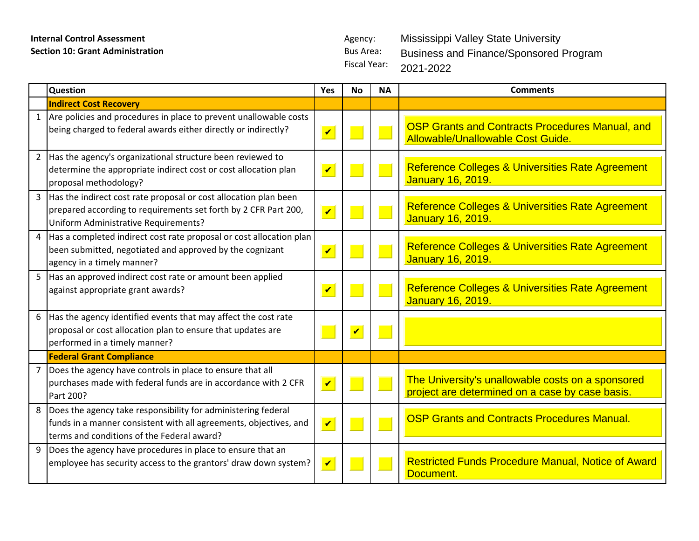| <b>Internal Control Assessment</b>      |                                                                                                                                                                                  | Agency:                 |                                         |                             | <b>Mississippi Valley State University</b>                                                           |
|-----------------------------------------|----------------------------------------------------------------------------------------------------------------------------------------------------------------------------------|-------------------------|-----------------------------------------|-----------------------------|------------------------------------------------------------------------------------------------------|
| <b>Section 10: Grant Administration</b> |                                                                                                                                                                                  |                         | <b>Bus Area:</b><br><b>Fiscal Year:</b> |                             | <b>Business and Finance/Sponsored Program</b><br>2021-2022                                           |
|                                         | Question                                                                                                                                                                         | Yes                     | <b>No</b>                               | <b>NA</b>                   | <b>Comments</b>                                                                                      |
|                                         | <b>Indirect Cost Recovery</b>                                                                                                                                                    |                         |                                         |                             |                                                                                                      |
|                                         | 1 Are policies and procedures in place to prevent unallowable costs<br>being charged to federal awards either directly or indirectly?                                            | $\overline{\mathbf{v}}$ |                                         |                             | <b>OSP Grants and Contracts Procedures Manual, and</b><br>Allowable/Unallowable Cost Guide.          |
|                                         | Has the agency's organizational structure been reviewed to<br>determine the appropriate indirect cost or cost allocation plan<br>proposal methodology?                           | $\blacktriangledown$    |                                         | <b>Service Service</b>      | Reference Colleges & Universities Rate Agreement<br>January 16, 2019.                                |
|                                         | 3   Has the indirect cost rate proposal or cost allocation plan been<br>prepared according to requirements set forth by 2 CFR Part 200,<br>Uniform Administrative Requirements?  | $\sqrt{ }$              |                                         |                             | Reference Colleges & Universities Rate Agreement<br><b>January 16, 2019.</b>                         |
| 4                                       | Has a completed indirect cost rate proposal or cost allocation plan<br>been submitted, negotiated and approved by the cognizant<br>agency in a timely manner?                    | $\overline{\mathbf{v}}$ |                                         |                             | <b>Reference Colleges &amp; Universities Rate Agreement</b><br><b>January 16, 2019.</b>              |
|                                         | 5 Has an approved indirect cost rate or amount been applied<br>against appropriate grant awards?                                                                                 | $\overline{\mathbf{v}}$ |                                         | $\mathcal{L}_{\mathcal{A}}$ | <b>Reference Colleges &amp; Universities Rate Agreement</b><br><b>January 16, 2019.</b>              |
|                                         | 6 Has the agency identified events that may affect the cost rate<br>proposal or cost allocation plan to ensure that updates are<br>performed in a timely manner?                 |                         | $\overline{\mathbf{v}}$                 |                             |                                                                                                      |
|                                         | <b>Federal Grant Compliance</b>                                                                                                                                                  |                         |                                         |                             |                                                                                                      |
| $\overline{7}$                          | Does the agency have controls in place to ensure that all<br>purchases made with federal funds are in accordance with 2 CFR<br>Part 200?                                         | $\overline{\mathbf{v}}$ |                                         |                             | The University's unallowable costs on a sponsored<br>project are determined on a case by case basis. |
| 8                                       | Does the agency take responsibility for administering federal<br>funds in a manner consistent with all agreements, objectives, and<br>terms and conditions of the Federal award? | $\blacktriangledown$    |                                         |                             | <b>OSP Grants and Contracts Procedures Manual.</b>                                                   |
| 9                                       | Does the agency have procedures in place to ensure that an<br>employee has security access to the grantors' draw down system?                                                    | $\blacktriangledown$    |                                         |                             | <b>Restricted Funds Procedure Manual, Notice of Award</b><br>Document.                               |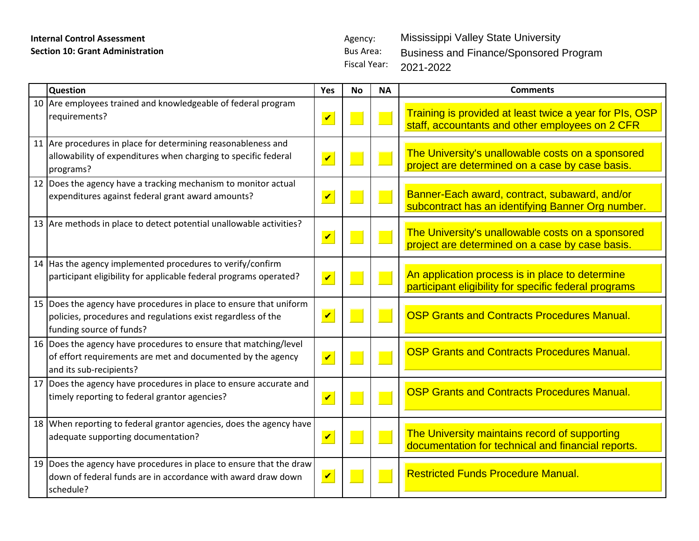Fiscal Year: Mississippi Valley State University Business and Finance/Sponsored Program 2021-2022

| Question                                                                                                                                                       | Yes                        | No | <b>NA</b> | <b>Comments</b>                                                                                            |
|----------------------------------------------------------------------------------------------------------------------------------------------------------------|----------------------------|----|-----------|------------------------------------------------------------------------------------------------------------|
| 10 Are employees trained and knowledgeable of federal program<br>requirements?                                                                                 | $\overline{\mathbf{v}}$    |    |           | Training is provided at least twice a year for PIs, OSP<br>staff, accountants and other employees on 2 CFR |
| 11 Are procedures in place for determining reasonableness and<br>allowability of expenditures when charging to specific federal<br>programs?                   | $\overline{\mathbf{v}}$    |    |           | The University's unallowable costs on a sponsored<br>project are determined on a case by case basis.       |
| 12 Does the agency have a tracking mechanism to monitor actual<br>expenditures against federal grant award amounts?                                            | $\overline{\mathbf{v}}$    |    |           | Banner-Each award, contract, subaward, and/or<br>subcontract has an identifying Banner Org number.         |
| 13 Are methods in place to detect potential unallowable activities?                                                                                            | $\boldsymbol{\mathcal{U}}$ |    |           | The University's unallowable costs on a sponsored<br>project are determined on a case by case basis.       |
| 14 Has the agency implemented procedures to verify/confirm<br>participant eligibility for applicable federal programs operated?                                | $\overline{\mathbf{v}}$    |    |           | An application process is in place to determine<br>participant eligibility for specific federal programs   |
| 15 Does the agency have procedures in place to ensure that uniform<br>policies, procedures and regulations exist regardless of the<br>funding source of funds? | $\overline{\mathbf{v}}$    |    |           | <b>OSP Grants and Contracts Procedures Manual.</b>                                                         |
| 16   Does the agency have procedures to ensure that matching/level<br>of effort requirements are met and documented by the agency<br>and its sub-recipients?   | $\boldsymbol{\mathcal{U}}$ |    |           | <b>OSP Grants and Contracts Procedures Manual.</b>                                                         |
| 17 Does the agency have procedures in place to ensure accurate and<br>timely reporting to federal grantor agencies?                                            | $\overline{\mathbf{v}}$    |    |           | <b>OSP Grants and Contracts Procedures Manual.</b>                                                         |
| 18 When reporting to federal grantor agencies, does the agency have<br>adequate supporting documentation?                                                      | $\overline{\mathbf{v}}$    |    |           | The University maintains record of supporting<br>documentation for technical and financial reports.        |
| 19 Does the agency have procedures in place to ensure that the draw<br>down of federal funds are in accordance with award draw down<br>schedule?               | $\boldsymbol{v}$           |    |           | <b>Restricted Funds Procedure Manual.</b>                                                                  |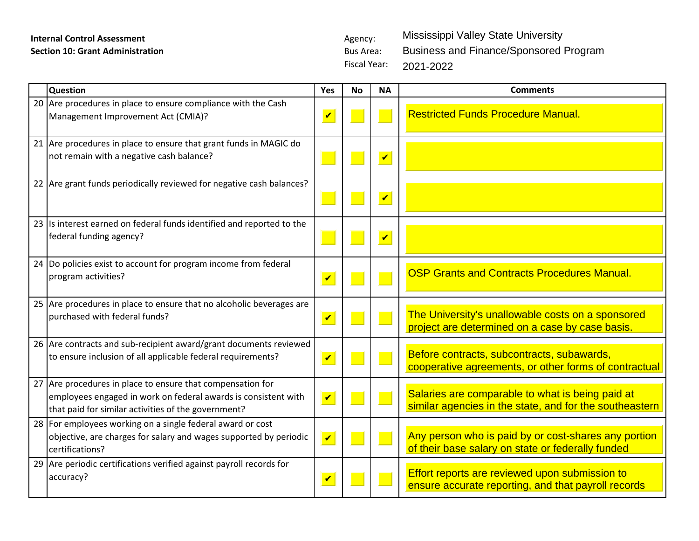Fiscal Year: Mississippi Valley State University Business and Finance/Sponsored Program 2021-2022

| Question                                                                                                                                                                            | Yes                        | <b>No</b> | <b>NA</b>               | <b>Comments</b>                                                                                             |
|-------------------------------------------------------------------------------------------------------------------------------------------------------------------------------------|----------------------------|-----------|-------------------------|-------------------------------------------------------------------------------------------------------------|
| 20 Are procedures in place to ensure compliance with the Cash<br>Management Improvement Act (CMIA)?                                                                                 | $\overline{\mathbf{v}}$    |           |                         | <b>Restricted Funds Procedure Manual.</b>                                                                   |
| 21 Are procedures in place to ensure that grant funds in MAGIC do<br>not remain with a negative cash balance?                                                                       |                            |           | $\overline{\mathbf{v}}$ |                                                                                                             |
| 22 Are grant funds periodically reviewed for negative cash balances?                                                                                                                |                            |           | $\overline{\mathbf{v}}$ |                                                                                                             |
| 23 Is interest earned on federal funds identified and reported to the<br>federal funding agency?                                                                                    |                            |           | $\overline{\mathbf{v}}$ |                                                                                                             |
| 24 Do policies exist to account for program income from federal<br>program activities?                                                                                              | $\overline{\mathbf{v}}$    |           |                         | <b>OSP Grants and Contracts Procedures Manual.</b>                                                          |
| 25 Are procedures in place to ensure that no alcoholic beverages are<br>purchased with federal funds?                                                                               | $\overline{\mathbf{v}}$    |           |                         | The University's unallowable costs on a sponsored<br>project are determined on a case by case basis.        |
| 26 Are contracts and sub-recipient award/grant documents reviewed<br>to ensure inclusion of all applicable federal requirements?                                                    | $\overline{\mathbf{v}}$    |           |                         | Before contracts, subcontracts, subawards,<br>cooperative agreements, or other forms of contractual         |
| 27 Are procedures in place to ensure that compensation for<br>employees engaged in work on federal awards is consistent with<br>that paid for similar activities of the government? | $\overline{\mathbf{v}}$    |           |                         | Salaries are comparable to what is being paid at<br>similar agencies in the state, and for the southeastern |
| 28 For employees working on a single federal award or cost<br>objective, are charges for salary and wages supported by periodic<br>certifications?                                  | $\overline{\mathbf{v}}$    |           |                         | Any person who is paid by or cost-shares any portion<br>of their base salary on state or federally funded   |
| 29 Are periodic certifications verified against payroll records for<br>accuracy?                                                                                                    | $\boldsymbol{\mathcal{U}}$ |           |                         | Effort reports are reviewed upon submission to<br>ensure accurate reporting, and that payroll records       |